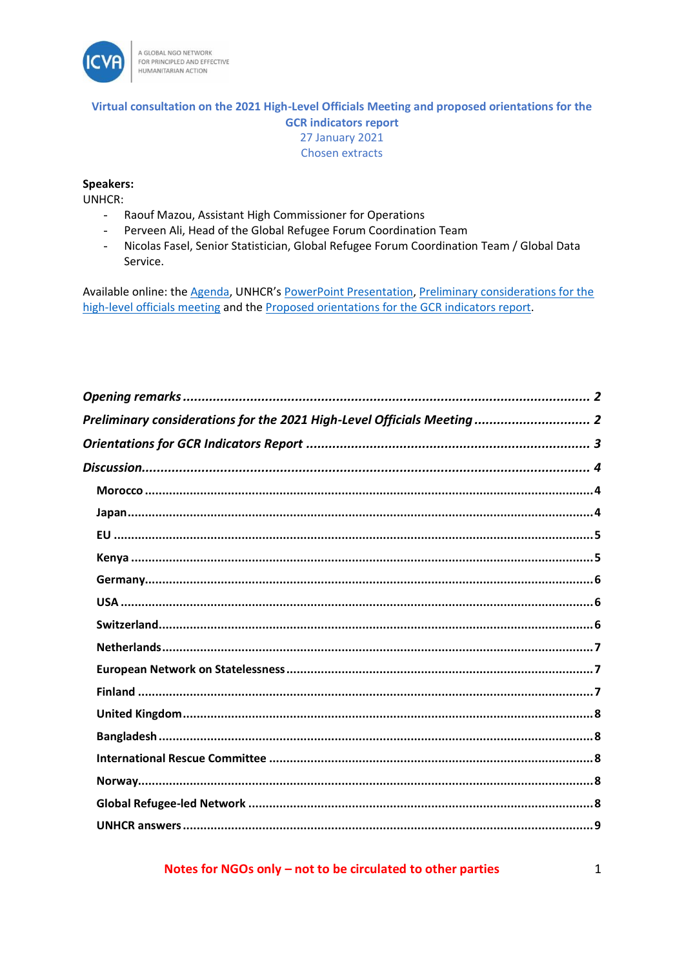

### Virtual consultation on the 2021 High-Level Officials Meeting and proposed orientations for the **GCR indicators report 27 January 2021** Chosen extracts

#### **Speakers:**

**UNHCR:** 

- Raouf Mazou, Assistant High Commissioner for Operations  $\mathbb{L}^+$
- Perveen Ali, Head of the Global Refugee Forum Coordination Team  $\omega$
- $\omega_{\rm{eff}}$ Nicolas Fasel, Senior Statistician, Global Refugee Forum Coordination Team / Global Data Service.

Available online: the Agenda, UNHCR's PowerPoint Presentation, Preliminary considerations for the high-level officials meeting and the Proposed orientations for the GCR indicators report.

| Preliminary considerations for the 2021 High-Level Officials Meeting  2 |
|-------------------------------------------------------------------------|
|                                                                         |
|                                                                         |
|                                                                         |
|                                                                         |
|                                                                         |
|                                                                         |
|                                                                         |
|                                                                         |
|                                                                         |
|                                                                         |
|                                                                         |
|                                                                         |
|                                                                         |
|                                                                         |
|                                                                         |
|                                                                         |
|                                                                         |
|                                                                         |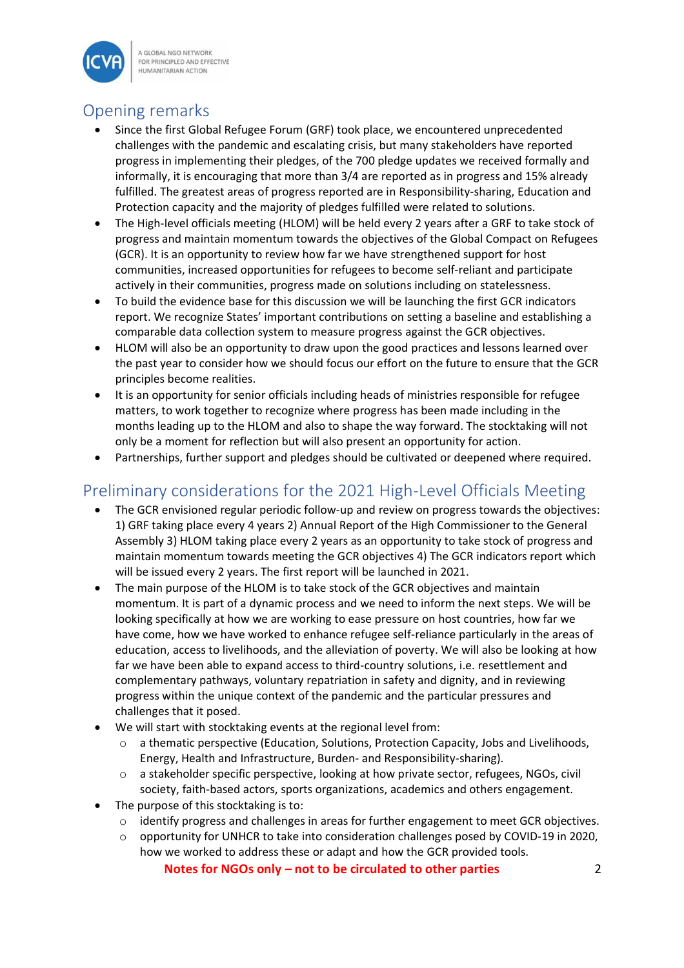

A GLOBAL NGO NETWORK FOR PRINCIPLED AND EFFECTIVE **HUMANITARIAN ACTION** 

# <span id="page-1-0"></span>Opening remarks

- Since the first Global Refugee Forum (GRF) took place, we encountered unprecedented challenges with the pandemic and escalating crisis, but many stakeholders have reported progress in implementing their pledges, of the 700 pledge updates we received formally and informally, it is encouraging that more than 3/4 are reported as in progress and 15% already fulfilled. The greatest areas of progress reported are in Responsibility-sharing, Education and Protection capacity and the majority of pledges fulfilled were related to solutions.
- The High-level officials meeting (HLOM) will be held every 2 years after a GRF to take stock of progress and maintain momentum towards the objectives of the Global Compact on Refugees (GCR). It is an opportunity to review how far we have strengthened support for host communities, increased opportunities for refugees to become self-reliant and participate actively in their communities, progress made on solutions including on statelessness.
- To build the evidence base for this discussion we will be launching the first GCR indicators report. We recognize States' important contributions on setting a baseline and establishing a comparable data collection system to measure progress against the GCR objectives.
- HLOM will also be an opportunity to draw upon the good practices and lessons learned over the past year to consider how we should focus our effort on the future to ensure that the GCR principles become realities.
- It is an opportunity for senior officials including heads of ministries responsible for refugee matters, to work together to recognize where progress has been made including in the months leading up to the HLOM and also to shape the way forward. The stocktaking will not only be a moment for reflection but will also present an opportunity for action.
- Partnerships, further support and pledges should be cultivated or deepened where required.

# <span id="page-1-1"></span>Preliminary considerations for the 2021 High-Level Officials Meeting

- The GCR envisioned regular periodic follow-up and review on progress towards the objectives: 1) GRF taking place every 4 years 2) Annual Report of the High Commissioner to the General Assembly 3) HLOM taking place every 2 years as an opportunity to take stock of progress and maintain momentum towards meeting the GCR objectives 4) The GCR indicators report which will be issued every 2 years. The first report will be launched in 2021.
- The main purpose of the HLOM is to take stock of the GCR objectives and maintain momentum. It is part of a dynamic process and we need to inform the next steps. We will be looking specifically at how we are working to ease pressure on host countries, how far we have come, how we have worked to enhance refugee self-reliance particularly in the areas of education, access to livelihoods, and the alleviation of poverty. We will also be looking at how far we have been able to expand access to third-country solutions, i.e. resettlement and complementary pathways, voluntary repatriation in safety and dignity, and in reviewing progress within the unique context of the pandemic and the particular pressures and challenges that it posed.
- We will start with stocktaking events at the regional level from:
	- o a thematic perspective (Education, Solutions, Protection Capacity, Jobs and Livelihoods, Energy, Health and Infrastructure, Burden- and Responsibility-sharing).
	- o a stakeholder specific perspective, looking at how private sector, refugees, NGOs, civil society, faith-based actors, sports organizations, academics and others engagement.
- The purpose of this stocktaking is to:
	- o identify progress and challenges in areas for further engagement to meet GCR objectives.
	- o opportunity for UNHCR to take into consideration challenges posed by COVID-19 in 2020, how we worked to address these or adapt and how the GCR provided tools.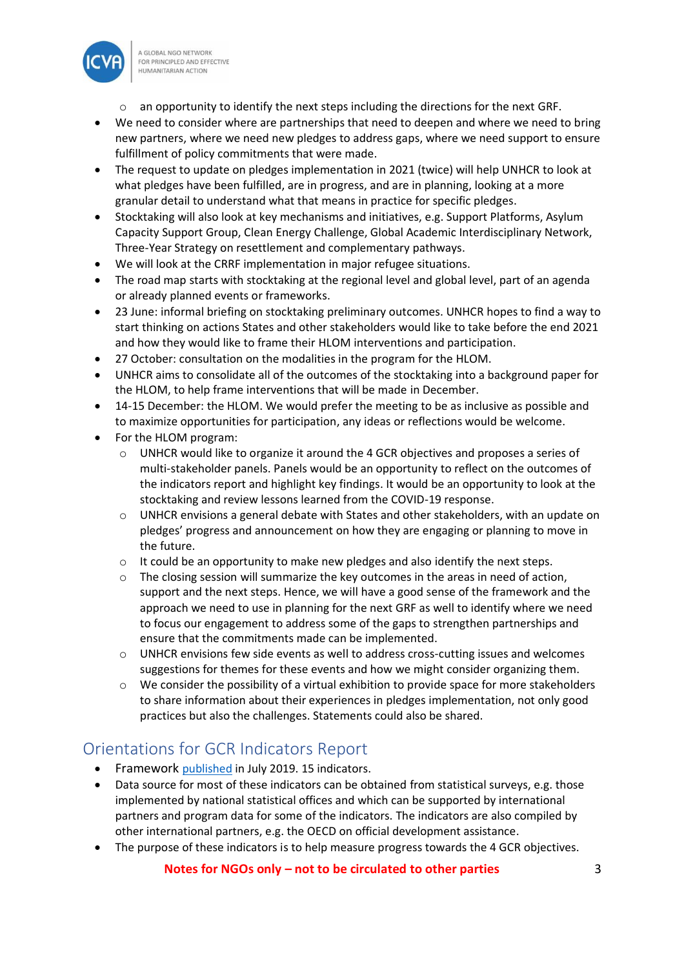

- o an opportunity to identify the next steps including the directions for the next GRF.
- We need to consider where are partnerships that need to deepen and where we need to bring new partners, where we need new pledges to address gaps, where we need support to ensure fulfillment of policy commitments that were made.
- The request to update on pledges implementation in 2021 (twice) will help UNHCR to look at what pledges have been fulfilled, are in progress, and are in planning, looking at a more granular detail to understand what that means in practice for specific pledges.
- Stocktaking will also look at key mechanisms and initiatives, e.g. Support Platforms, Asylum Capacity Support Group, Clean Energy Challenge, Global Academic Interdisciplinary Network, Three-Year Strategy on resettlement and complementary pathways.
- We will look at the CRRF implementation in major refugee situations.
- The road map starts with stocktaking at the regional level and global level, part of an agenda or already planned events or frameworks.
- 23 June: informal briefing on stocktaking preliminary outcomes. UNHCR hopes to find a way to start thinking on actions States and other stakeholders would like to take before the end 2021 and how they would like to frame their HLOM interventions and participation.
- 27 October: consultation on the modalities in the program for the HLOM.
- UNHCR aims to consolidate all of the outcomes of the stocktaking into a background paper for the HLOM, to help frame interventions that will be made in December.
- 14-15 December: the HLOM. We would prefer the meeting to be as inclusive as possible and to maximize opportunities for participation, any ideas or reflections would be welcome.
- For the HLOM program:
	- o UNHCR would like to organize it around the 4 GCR objectives and proposes a series of multi-stakeholder panels. Panels would be an opportunity to reflect on the outcomes of the indicators report and highlight key findings. It would be an opportunity to look at the stocktaking and review lessons learned from the COVID-19 response.
	- $\circ$  UNHCR envisions a general debate with States and other stakeholders, with an update on pledges' progress and announcement on how they are engaging or planning to move in the future.
	- $\circ$  It could be an opportunity to make new pledges and also identify the next steps.
	- $\circ$  The closing session will summarize the key outcomes in the areas in need of action, support and the next steps. Hence, we will have a good sense of the framework and the approach we need to use in planning for the next GRF as well to identify where we need to focus our engagement to address some of the gaps to strengthen partnerships and ensure that the commitments made can be implemented.
	- o UNHCR envisions few side events as well to address cross-cutting issues and welcomes suggestions for themes for these events and how we might consider organizing them.
	- o We consider the possibility of a virtual exhibition to provide space for more stakeholders to share information about their experiences in pledges implementation, not only good practices but also the challenges. Statements could also be shared.

## <span id="page-2-0"></span>Orientations for GCR Indicators Report

- Framework [published](https://www.unhcr.org/5cf907854) in July 2019. 15 indicators.
- Data source for most of these indicators can be obtained from statistical surveys, e.g. those implemented by national statistical offices and which can be supported by international partners and program data for some of the indicators. The indicators are also compiled by other international partners, e.g. the OECD on official development assistance.
- The purpose of these indicators is to help measure progress towards the 4 GCR objectives.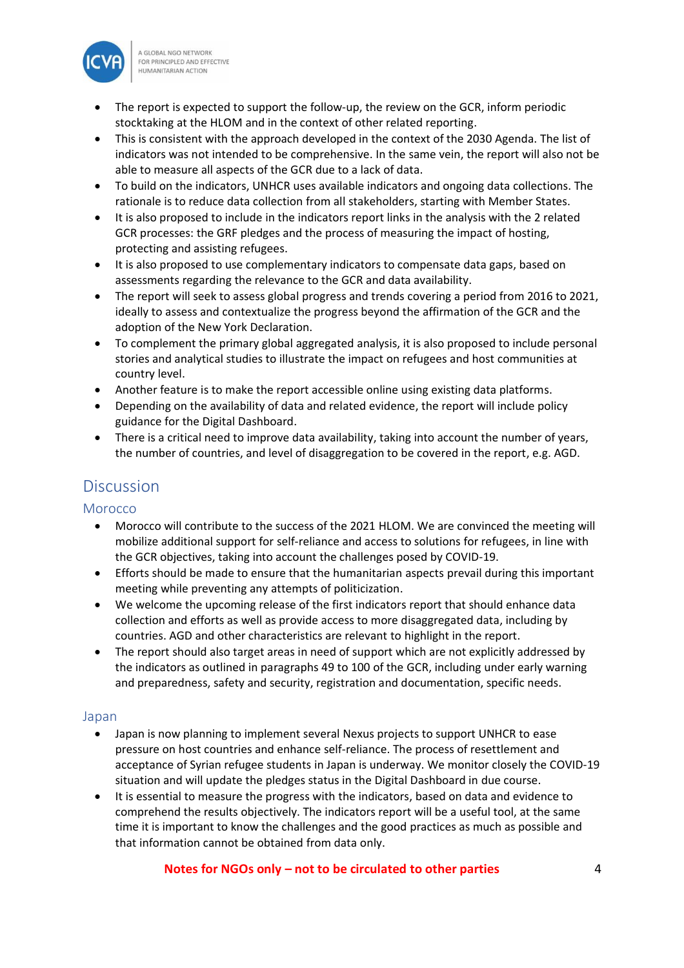

A GLOBAL NGO NETWORK FOR PRINCIPLED AND EFFECTIVE **HUMANITARIAN ACTION** 

- The report is expected to support the follow-up, the review on the GCR, inform periodic stocktaking at the HLOM and in the context of other related reporting.
- This is consistent with the approach developed in the context of the 2030 Agenda. The list of indicators was not intended to be comprehensive. In the same vein, the report will also not be able to measure all aspects of the GCR due to a lack of data.
- To build on the indicators, UNHCR uses available indicators and ongoing data collections. The rationale is to reduce data collection from all stakeholders, starting with Member States.
- It is also proposed to include in the indicators report links in the analysis with the 2 related GCR processes: the GRF pledges and the process of measuring the impact of hosting, protecting and assisting refugees.
- It is also proposed to use complementary indicators to compensate data gaps, based on assessments regarding the relevance to the GCR and data availability.
- The report will seek to assess global progress and trends covering a period from 2016 to 2021, ideally to assess and contextualize the progress beyond the affirmation of the GCR and the adoption of the New York Declaration.
- To complement the primary global aggregated analysis, it is also proposed to include personal stories and analytical studies to illustrate the impact on refugees and host communities at country level.
- Another feature is to make the report accessible online using existing data platforms.
- Depending on the availability of data and related evidence, the report will include policy guidance for the Digital Dashboard.
- There is a critical need to improve data availability, taking into account the number of years, the number of countries, and level of disaggregation to be covered in the report, e.g. AGD.

## <span id="page-3-0"></span>**Discussion**

<span id="page-3-1"></span>**Morocco** 

- Morocco will contribute to the success of the 2021 HLOM. We are convinced the meeting will mobilize additional support for self-reliance and access to solutions for refugees, in line with the GCR objectives, taking into account the challenges posed by COVID-19.
- Efforts should be made to ensure that the humanitarian aspects prevail during this important meeting while preventing any attempts of politicization.
- We welcome the upcoming release of the first indicators report that should enhance data collection and efforts as well as provide access to more disaggregated data, including by countries. AGD and other characteristics are relevant to highlight in the report.
- The report should also target areas in need of support which are not explicitly addressed by the indicators as outlined in paragraphs 49 to 100 of the GCR, including under early warning and preparedness, safety and security, registration and documentation, specific needs.

## <span id="page-3-2"></span>Japan

- Japan is now planning to implement several Nexus projects to support UNHCR to ease pressure on host countries and enhance self-reliance. The process of resettlement and acceptance of Syrian refugee students in Japan is underway. We monitor closely the COVID-19 situation and will update the pledges status in the Digital Dashboard in due course.
- It is essential to measure the progress with the indicators, based on data and evidence to comprehend the results objectively. The indicators report will be a useful tool, at the same time it is important to know the challenges and the good practices as much as possible and that information cannot be obtained from data only.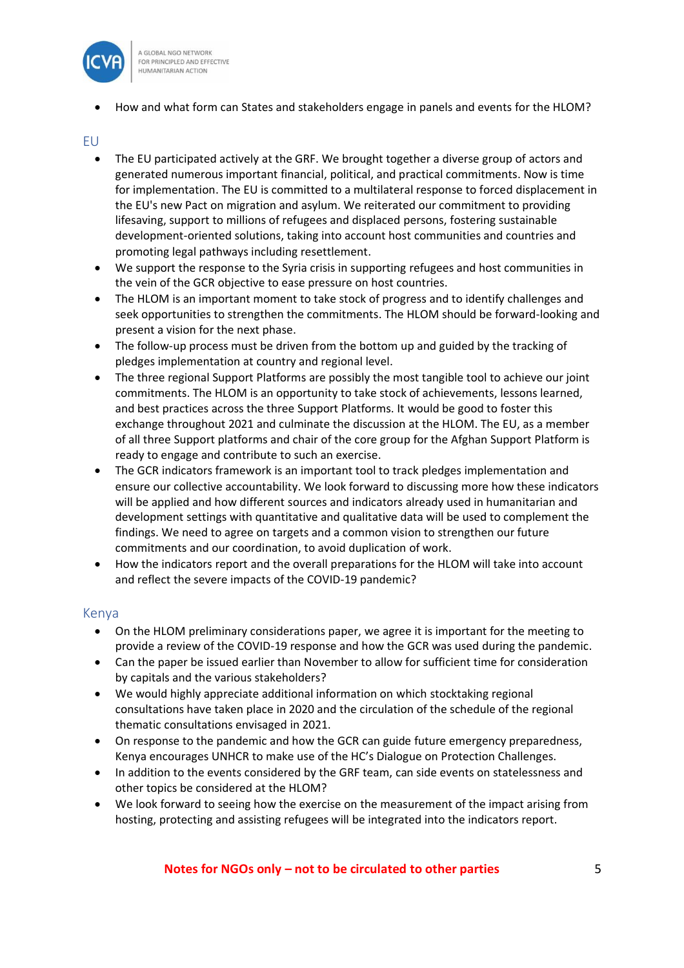

• How and what form can States and stakeholders engage in panels and events for the HLOM?

#### <span id="page-4-0"></span>EU

- The EU participated actively at the GRF. We brought together a diverse group of actors and generated numerous important financial, political, and practical commitments. Now is time for implementation. The EU is committed to a multilateral response to forced displacement in the EU's new Pact on migration and asylum. We reiterated our commitment to providing lifesaving, support to millions of refugees and displaced persons, fostering sustainable development-oriented solutions, taking into account host communities and countries and promoting legal pathways including resettlement.
- We support the response to the Syria crisis in supporting refugees and host communities in the vein of the GCR objective to ease pressure on host countries.
- The HLOM is an important moment to take stock of progress and to identify challenges and seek opportunities to strengthen the commitments. The HLOM should be forward-looking and present a vision for the next phase.
- The follow-up process must be driven from the bottom up and guided by the tracking of pledges implementation at country and regional level.
- The three regional Support Platforms are possibly the most tangible tool to achieve our joint commitments. The HLOM is an opportunity to take stock of achievements, lessons learned, and best practices across the three Support Platforms. It would be good to foster this exchange throughout 2021 and culminate the discussion at the HLOM. The EU, as a member of all three Support platforms and chair of the core group for the Afghan Support Platform is ready to engage and contribute to such an exercise.
- The GCR indicators framework is an important tool to track pledges implementation and ensure our collective accountability. We look forward to discussing more how these indicators will be applied and how different sources and indicators already used in humanitarian and development settings with quantitative and qualitative data will be used to complement the findings. We need to agree on targets and a common vision to strengthen our future commitments and our coordination, to avoid duplication of work.
- How the indicators report and the overall preparations for the HLOM will take into account and reflect the severe impacts of the COVID-19 pandemic?

#### <span id="page-4-1"></span>Kenya

- On the HLOM preliminary considerations paper, we agree it is important for the meeting to provide a review of the COVID-19 response and how the GCR was used during the pandemic.
- Can the paper be issued earlier than November to allow for sufficient time for consideration by capitals and the various stakeholders?
- We would highly appreciate additional information on which stocktaking regional consultations have taken place in 2020 and the circulation of the schedule of the regional thematic consultations envisaged in 2021.
- On response to the pandemic and how the GCR can guide future emergency preparedness, Kenya encourages UNHCR to make use of the HC's Dialogue on Protection Challenges.
- In addition to the events considered by the GRF team, can side events on statelessness and other topics be considered at the HLOM?
- We look forward to seeing how the exercise on the measurement of the impact arising from hosting, protecting and assisting refugees will be integrated into the indicators report.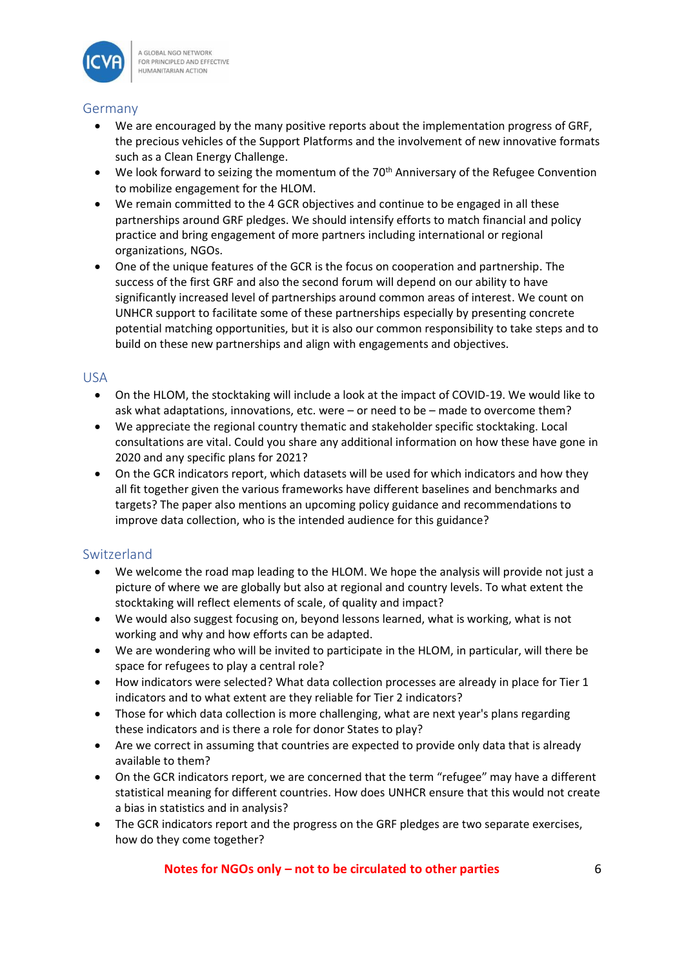

#### <span id="page-5-0"></span>Germany

- We are encouraged by the many positive reports about the implementation progress of GRF, the precious vehicles of the Support Platforms and the involvement of new innovative formats such as a Clean Energy Challenge.
- We look forward to seizing the momentum of the 70<sup>th</sup> Anniversary of the Refugee Convention to mobilize engagement for the HLOM.
- We remain committed to the 4 GCR objectives and continue to be engaged in all these partnerships around GRF pledges. We should intensify efforts to match financial and policy practice and bring engagement of more partners including international or regional organizations, NGOs.
- One of the unique features of the GCR is the focus on cooperation and partnership. The success of the first GRF and also the second forum will depend on our ability to have significantly increased level of partnerships around common areas of interest. We count on UNHCR support to facilitate some of these partnerships especially by presenting concrete potential matching opportunities, but it is also our common responsibility to take steps and to build on these new partnerships and align with engagements and objectives.

### <span id="page-5-1"></span>USA

- On the HLOM, the stocktaking will include a look at the impact of COVID-19. We would like to ask what adaptations, innovations, etc. were – or need to be – made to overcome them?
- We appreciate the regional country thematic and stakeholder specific stocktaking. Local consultations are vital. Could you share any additional information on how these have gone in 2020 and any specific plans for 2021?
- On the GCR indicators report, which datasets will be used for which indicators and how they all fit together given the various frameworks have different baselines and benchmarks and targets? The paper also mentions an upcoming policy guidance and recommendations to improve data collection, who is the intended audience for this guidance?

## <span id="page-5-2"></span>Switzerland

- We welcome the road map leading to the HLOM. We hope the analysis will provide not just a picture of where we are globally but also at regional and country levels. To what extent the stocktaking will reflect elements of scale, of quality and impact?
- We would also suggest focusing on, beyond lessons learned, what is working, what is not working and why and how efforts can be adapted.
- We are wondering who will be invited to participate in the HLOM, in particular, will there be space for refugees to play a central role?
- How indicators were selected? What data collection processes are already in place for Tier 1 indicators and to what extent are they reliable for Tier 2 indicators?
- Those for which data collection is more challenging, what are next year's plans regarding these indicators and is there a role for donor States to play?
- Are we correct in assuming that countries are expected to provide only data that is already available to them?
- On the GCR indicators report, we are concerned that the term "refugee" may have a different statistical meaning for different countries. How does UNHCR ensure that this would not create a bias in statistics and in analysis?
- The GCR indicators report and the progress on the GRF pledges are two separate exercises, how do they come together?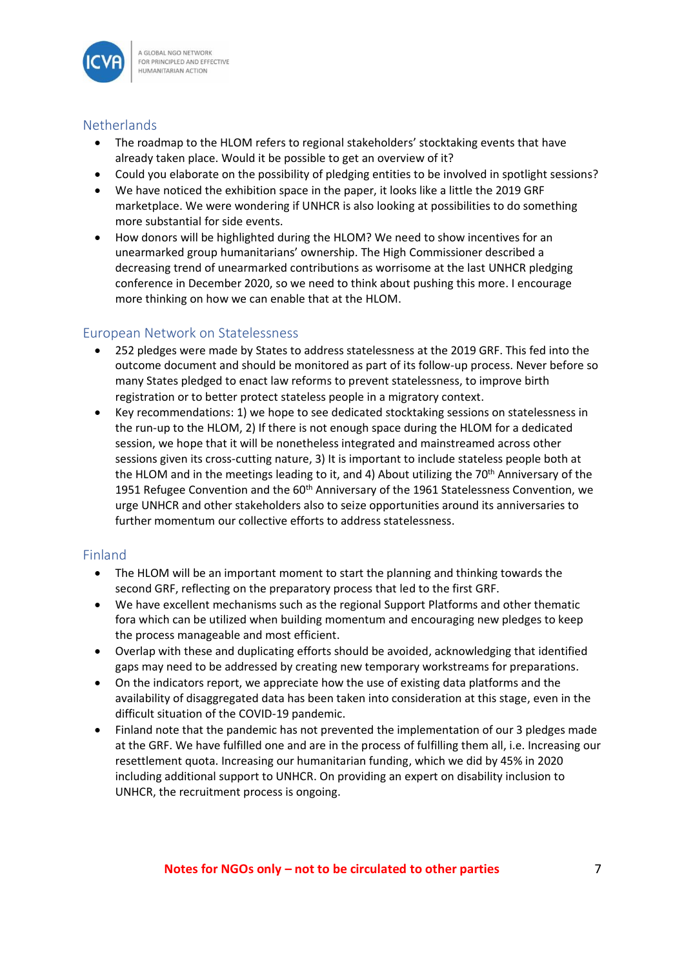

### <span id="page-6-0"></span>**Netherlands**

- The roadmap to the HLOM refers to regional stakeholders' stocktaking events that have already taken place. Would it be possible to get an overview of it?
- Could you elaborate on the possibility of pledging entities to be involved in spotlight sessions?
- We have noticed the exhibition space in the paper, it looks like a little the 2019 GRF marketplace. We were wondering if UNHCR is also looking at possibilities to do something more substantial for side events.
- How donors will be highlighted during the HLOM? We need to show incentives for an unearmarked group humanitarians' ownership. The High Commissioner described a decreasing trend of unearmarked contributions as worrisome at the last UNHCR pledging conference in December 2020, so we need to think about pushing this more. I encourage more thinking on how we can enable that at the HLOM.

## <span id="page-6-1"></span>European Network on Statelessness

- 252 pledges were made by States to address statelessness at the 2019 GRF. This fed into the outcome document and should be monitored as part of its follow-up process. Never before so many States pledged to enact law reforms to prevent statelessness, to improve birth registration or to better protect stateless people in a migratory context.
- Key recommendations: 1) we hope to see dedicated stocktaking sessions on statelessness in the run-up to the HLOM, 2) If there is not enough space during the HLOM for a dedicated session, we hope that it will be nonetheless integrated and mainstreamed across other sessions given its cross-cutting nature, 3) It is important to include stateless people both at the HLOM and in the meetings leading to it, and 4) About utilizing the 70<sup>th</sup> Anniversary of the 1951 Refugee Convention and the  $60<sup>th</sup>$  Anniversary of the 1961 Statelessness Convention, we urge UNHCR and other stakeholders also to seize opportunities around its anniversaries to further momentum our collective efforts to address statelessness.

## <span id="page-6-2"></span>Finland

- The HLOM will be an important moment to start the planning and thinking towards the second GRF, reflecting on the preparatory process that led to the first GRF.
- We have excellent mechanisms such as the regional Support Platforms and other thematic fora which can be utilized when building momentum and encouraging new pledges to keep the process manageable and most efficient.
- Overlap with these and duplicating efforts should be avoided, acknowledging that identified gaps may need to be addressed by creating new temporary workstreams for preparations.
- On the indicators report, we appreciate how the use of existing data platforms and the availability of disaggregated data has been taken into consideration at this stage, even in the difficult situation of the COVID-19 pandemic.
- Finland note that the pandemic has not prevented the implementation of our 3 pledges made at the GRF. We have fulfilled one and are in the process of fulfilling them all, i.e. Increasing our resettlement quota. Increasing our humanitarian funding, which we did by 45% in 2020 including additional support to UNHCR. On providing an expert on disability inclusion to UNHCR, the recruitment process is ongoing.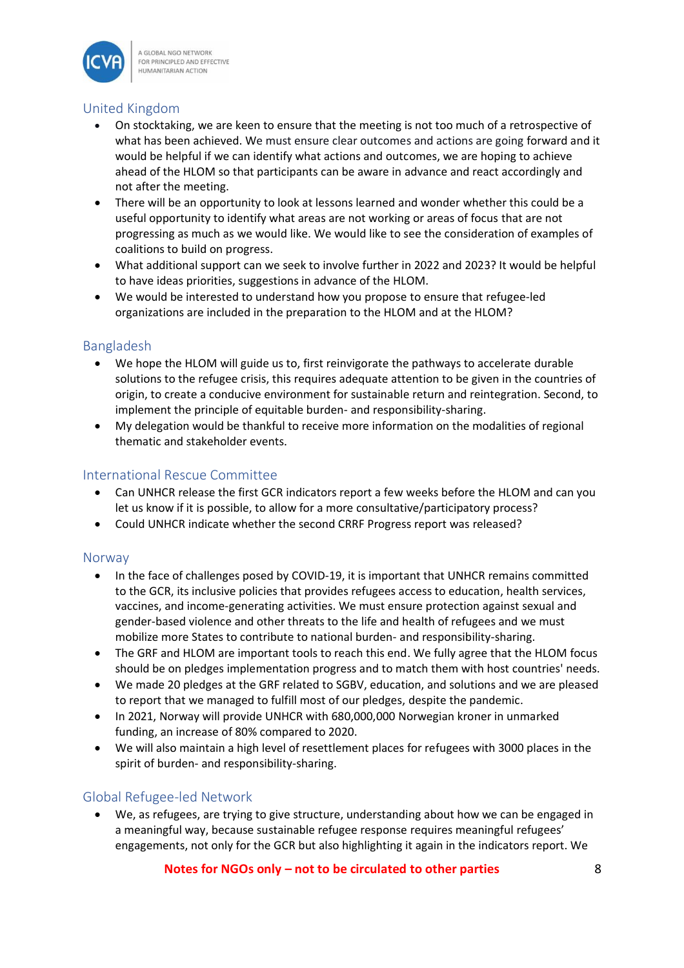

### <span id="page-7-0"></span>United Kingdom

- On stocktaking, we are keen to ensure that the meeting is not too much of a retrospective of what has been achieved. We must ensure clear outcomes and actions are going forward and it would be helpful if we can identify what actions and outcomes, we are hoping to achieve ahead of the HLOM so that participants can be aware in advance and react accordingly and not after the meeting.
- There will be an opportunity to look at lessons learned and wonder whether this could be a useful opportunity to identify what areas are not working or areas of focus that are not progressing as much as we would like. We would like to see the consideration of examples of coalitions to build on progress.
- What additional support can we seek to involve further in 2022 and 2023? It would be helpful to have ideas priorities, suggestions in advance of the HLOM.
- We would be interested to understand how you propose to ensure that refugee-led organizations are included in the preparation to the HLOM and at the HLOM?

#### <span id="page-7-1"></span>Bangladesh

- We hope the HLOM will guide us to, first reinvigorate the pathways to accelerate durable solutions to the refugee crisis, this requires adequate attention to be given in the countries of origin, to create a conducive environment for sustainable return and reintegration. Second, to implement the principle of equitable burden- and responsibility-sharing.
- My delegation would be thankful to receive more information on the modalities of regional thematic and stakeholder events.

### <span id="page-7-2"></span>International Rescue Committee

- Can UNHCR release the first GCR indicators report a few weeks before the HLOM and can you let us know if it is possible, to allow for a more consultative/participatory process?
- Could UNHCR indicate whether the second CRRF Progress report was released?

#### <span id="page-7-3"></span>Norway

- In the face of challenges posed by COVID-19, it is important that UNHCR remains committed to the GCR, its inclusive policies that provides refugees access to education, health services, vaccines, and income-generating activities. We must ensure protection against sexual and gender-based violence and other threats to the life and health of refugees and we must mobilize more States to contribute to national burden- and responsibility-sharing.
- The GRF and HLOM are important tools to reach this end. We fully agree that the HLOM focus should be on pledges implementation progress and to match them with host countries' needs.
- We made 20 pledges at the GRF related to SGBV, education, and solutions and we are pleased to report that we managed to fulfill most of our pledges, despite the pandemic.
- In 2021, Norway will provide UNHCR with 680,000,000 Norwegian kroner in unmarked funding, an increase of 80% compared to 2020.
- We will also maintain a high level of resettlement places for refugees with 3000 places in the spirit of burden- and responsibility-sharing.

#### <span id="page-7-4"></span>Global Refugee-led Network

• We, as refugees, are trying to give structure, understanding about how we can be engaged in a meaningful way, because sustainable refugee response requires meaningful refugees' engagements, not only for the GCR but also highlighting it again in the indicators report. We